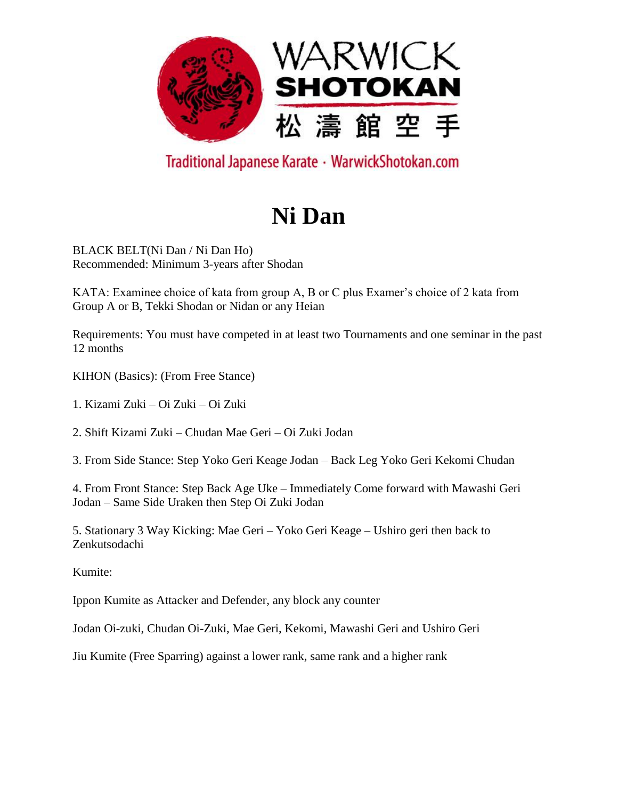

# **Ni Dan**

BLACK BELT(Ni Dan / Ni Dan Ho) Recommended: Minimum 3-years after Shodan

KATA: Examinee choice of kata from group A, B or C plus Examer's choice of 2 kata from Group A or B, Tekki Shodan or Nidan or any Heian

Requirements: You must have competed in at least two Tournaments and one seminar in the past 12 months

KIHON (Basics): (From Free Stance)

1. Kizami Zuki – Oi Zuki – Oi Zuki

2. Shift Kizami Zuki – Chudan Mae Geri – Oi Zuki Jodan

3. From Side Stance: Step Yoko Geri Keage Jodan – Back Leg Yoko Geri Kekomi Chudan

4. From Front Stance: Step Back Age Uke – Immediately Come forward with Mawashi Geri Jodan – Same Side Uraken then Step Oi Zuki Jodan

5. Stationary 3 Way Kicking: Mae Geri – Yoko Geri Keage – Ushiro geri then back to Zenkutsodachi

Kumite:

Ippon Kumite as Attacker and Defender, any block any counter

Jodan Oi-zuki, Chudan Oi-Zuki, Mae Geri, Kekomi, Mawashi Geri and Ushiro Geri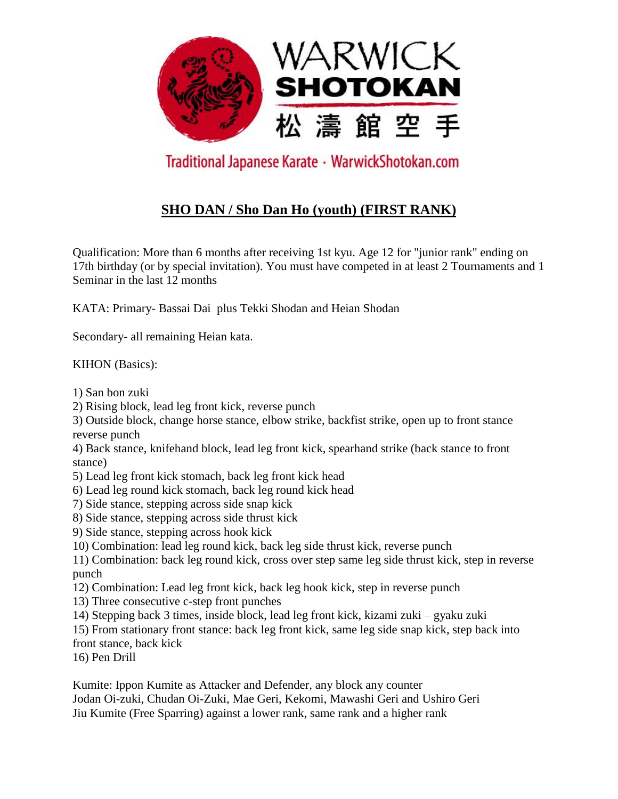

### **SHO DAN / Sho Dan Ho (youth) (FIRST RANK)**

Qualification: More than 6 months after receiving 1st kyu. Age 12 for "junior rank" ending on 17th birthday (or by special invitation). You must have competed in at least 2 Tournaments and 1 Seminar in the last 12 months

KATA: Primary- Bassai Dai plus Tekki Shodan and Heian Shodan

Secondary- all remaining Heian kata.

KIHON (Basics):

1) San bon zuki

2) Rising block, lead leg front kick, reverse punch

3) Outside block, change horse stance, elbow strike, backfist strike, open up to front stance reverse punch

4) Back stance, knifehand block, lead leg front kick, spearhand strike (back stance to front stance)

5) Lead leg front kick stomach, back leg front kick head

6) Lead leg round kick stomach, back leg round kick head

- 7) Side stance, stepping across side snap kick
- 8) Side stance, stepping across side thrust kick
- 9) Side stance, stepping across hook kick

10) Combination: lead leg round kick, back leg side thrust kick, reverse punch

11) Combination: back leg round kick, cross over step same leg side thrust kick, step in reverse punch

12) Combination: Lead leg front kick, back leg hook kick, step in reverse punch

13) Three consecutive c-step front punches

14) Stepping back 3 times, inside block, lead leg front kick, kizami zuki – gyaku zuki

15) From stationary front stance: back leg front kick, same leg side snap kick, step back into

front stance, back kick

16) Pen Drill

Kumite: Ippon Kumite as Attacker and Defender, any block any counter Jodan Oi-zuki, Chudan Oi-Zuki, Mae Geri, Kekomi, Mawashi Geri and Ushiro Geri Jiu Kumite (Free Sparring) against a lower rank, same rank and a higher rank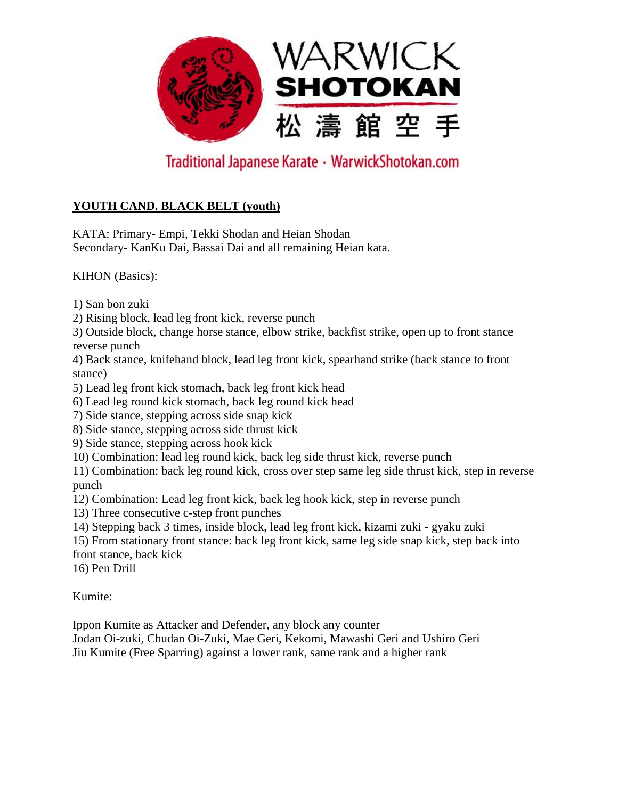

### **YOUTH CAND. BLACK BELT (youth)**

KATA: Primary- Empi, Tekki Shodan and Heian Shodan Secondary- KanKu Dai, Bassai Dai and all remaining Heian kata.

KIHON (Basics):

1) San bon zuki

2) Rising block, lead leg front kick, reverse punch

3) Outside block, change horse stance, elbow strike, backfist strike, open up to front stance reverse punch

4) Back stance, knifehand block, lead leg front kick, spearhand strike (back stance to front stance)

- 5) Lead leg front kick stomach, back leg front kick head
- 6) Lead leg round kick stomach, back leg round kick head
- 7) Side stance, stepping across side snap kick
- 8) Side stance, stepping across side thrust kick
- 9) Side stance, stepping across hook kick
- 10) Combination: lead leg round kick, back leg side thrust kick, reverse punch

11) Combination: back leg round kick, cross over step same leg side thrust kick, step in reverse punch

- 12) Combination: Lead leg front kick, back leg hook kick, step in reverse punch
- 13) Three consecutive c-step front punches
- 14) Stepping back 3 times, inside block, lead leg front kick, kizami zuki gyaku zuki
- 15) From stationary front stance: back leg front kick, same leg side snap kick, step back into front stance, back kick

16) Pen Drill

Kumite:

Ippon Kumite as Attacker and Defender, any block any counter

Jodan Oi-zuki, Chudan Oi-Zuki, Mae Geri, Kekomi, Mawashi Geri and Ushiro Geri Jiu Kumite (Free Sparring) against a lower rank, same rank and a higher rank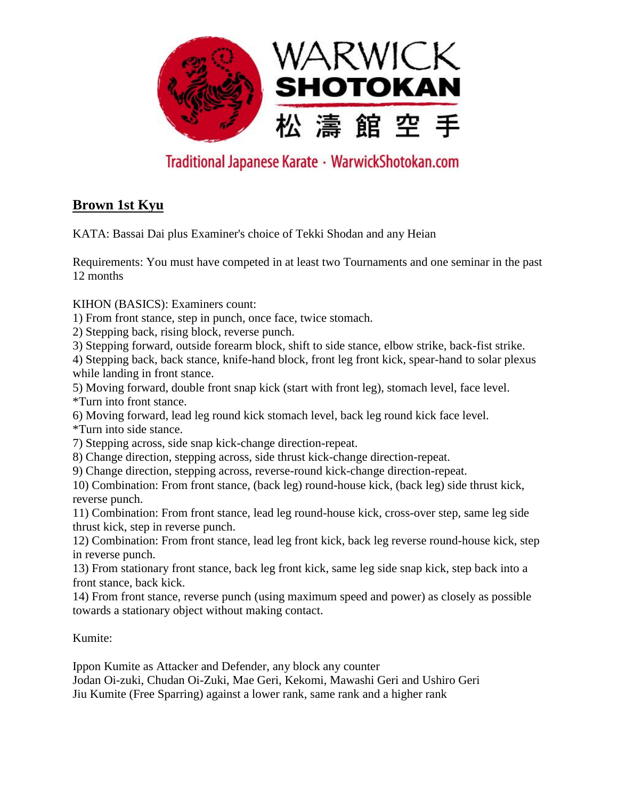

### **Brown 1st Kyu**

KATA: Bassai Dai plus Examiner's choice of Tekki Shodan and any Heian

Requirements: You must have competed in at least two Tournaments and one seminar in the past 12 months

KIHON (BASICS): Examiners count:

1) From front stance, step in punch, once face, twice stomach.

2) Stepping back, rising block, reverse punch.

3) Stepping forward, outside forearm block, shift to side stance, elbow strike, back-fist strike.

4) Stepping back, back stance, knife-hand block, front leg front kick, spear-hand to solar plexus while landing in front stance.

5) Moving forward, double front snap kick (start with front leg), stomach level, face level. \*Turn into front stance.

6) Moving forward, lead leg round kick stomach level, back leg round kick face level.

\*Turn into side stance.

7) Stepping across, side snap kick-change direction-repeat.

8) Change direction, stepping across, side thrust kick-change direction-repeat.

9) Change direction, stepping across, reverse-round kick-change direction-repeat.

10) Combination: From front stance, (back leg) round-house kick, (back leg) side thrust kick, reverse punch.

11) Combination: From front stance, lead leg round-house kick, cross-over step, same leg side thrust kick, step in reverse punch.

12) Combination: From front stance, lead leg front kick, back leg reverse round-house kick, step in reverse punch.

13) From stationary front stance, back leg front kick, same leg side snap kick, step back into a front stance, back kick.

14) From front stance, reverse punch (using maximum speed and power) as closely as possible towards a stationary object without making contact.

Kumite:

Ippon Kumite as Attacker and Defender, any block any counter Jodan Oi-zuki, Chudan Oi-Zuki, Mae Geri, Kekomi, Mawashi Geri and Ushiro Geri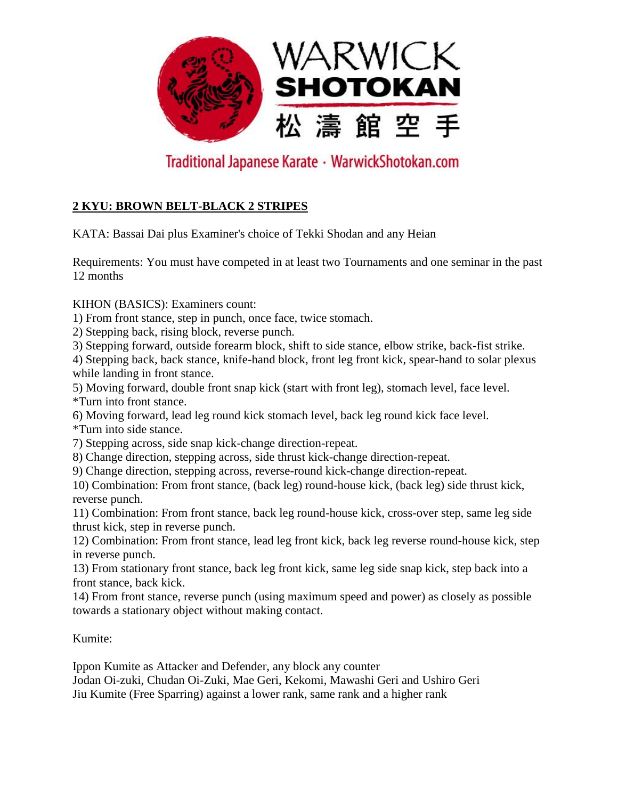

### **2 KYU: BROWN BELT-BLACK 2 STRIPES**

KATA: Bassai Dai plus Examiner's choice of Tekki Shodan and any Heian

Requirements: You must have competed in at least two Tournaments and one seminar in the past 12 months

KIHON (BASICS): Examiners count:

1) From front stance, step in punch, once face, twice stomach.

2) Stepping back, rising block, reverse punch.

3) Stepping forward, outside forearm block, shift to side stance, elbow strike, back-fist strike.

4) Stepping back, back stance, knife-hand block, front leg front kick, spear-hand to solar plexus while landing in front stance.

5) Moving forward, double front snap kick (start with front leg), stomach level, face level. \*Turn into front stance.

6) Moving forward, lead leg round kick stomach level, back leg round kick face level.

\*Turn into side stance.

7) Stepping across, side snap kick-change direction-repeat.

8) Change direction, stepping across, side thrust kick-change direction-repeat.

9) Change direction, stepping across, reverse-round kick-change direction-repeat.

10) Combination: From front stance, (back leg) round-house kick, (back leg) side thrust kick, reverse punch.

11) Combination: From front stance, back leg round-house kick, cross-over step, same leg side thrust kick, step in reverse punch.

12) Combination: From front stance, lead leg front kick, back leg reverse round-house kick, step in reverse punch.

13) From stationary front stance, back leg front kick, same leg side snap kick, step back into a front stance, back kick.

14) From front stance, reverse punch (using maximum speed and power) as closely as possible towards a stationary object without making contact.

Kumite:

Ippon Kumite as Attacker and Defender, any block any counter Jodan Oi-zuki, Chudan Oi-Zuki, Mae Geri, Kekomi, Mawashi Geri and Ushiro Geri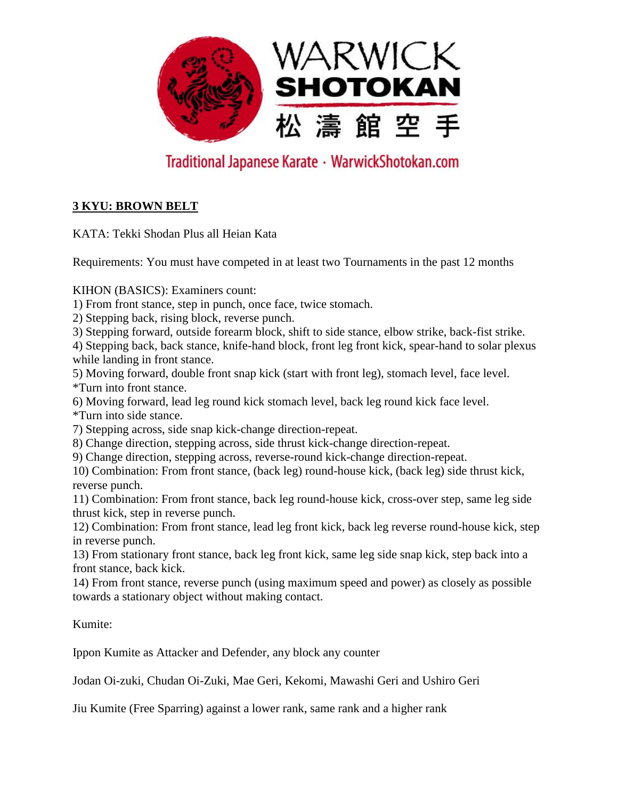

### **3 KYU: BROWN BELT**

KATA: Tekki Shodan Plus all Heian Kata

Requirements: You must have competed in at least two Tournaments in the past 12 months

KIHON (BASICS): Examiners count:

1) From front stance, step in punch, once face, twice stomach.

2) Stepping back, rising block, reverse punch.

3) Stepping forward, outside forearm block, shift to side stance, elbow strike, back-fist strike.

4) Stepping back, back stance, knife-hand block, front leg front kick, spear-hand to solar plexus while landing in front stance.

5) Moving forward, double front snap kick (start with front leg), stomach level, face level. \*Turn into front stance.

6) Moving forward, lead leg round kick stomach level, back leg round kick face level. \*Turn into side stance.

7) Stepping across, side snap kick-change direction-repeat.

8) Change direction, stepping across, side thrust kick-change direction-repeat.

9) Change direction, stepping across, reverse-round kick-change direction-repeat.

10) Combination: From front stance, (back leg) round-house kick, (back leg) side thrust kick, reverse punch.

11) Combination: From front stance, back leg round-house kick, cross-over step, same leg side thrust kick, step in reverse punch.

12) Combination: From front stance, lead leg front kick, back leg reverse round-house kick, step in reverse punch.

13) From stationary front stance, back leg front kick, same leg side snap kick, step back into a front stance, back kick.

14) From front stance, reverse punch (using maximum speed and power) as closely as possible towards a stationary object without making contact.

Kumite:

Ippon Kumite as Attacker and Defender, any block any counter

Jodan Oi-zuki, Chudan Oi-Zuki, Mae Geri, Kekomi, Mawashi Geri and Ushiro Geri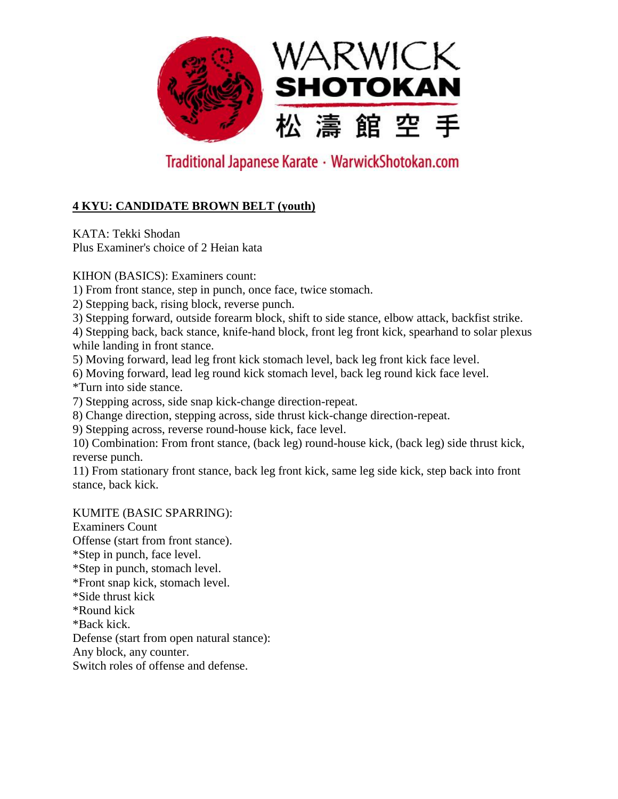

### **4 KYU: CANDIDATE BROWN BELT (youth)**

KATA: Tekki Shodan Plus Examiner's choice of 2 Heian kata

KIHON (BASICS): Examiners count:

1) From front stance, step in punch, once face, twice stomach.

2) Stepping back, rising block, reverse punch.

3) Stepping forward, outside forearm block, shift to side stance, elbow attack, backfist strike.

4) Stepping back, back stance, knife-hand block, front leg front kick, spearhand to solar plexus while landing in front stance.

5) Moving forward, lead leg front kick stomach level, back leg front kick face level.

6) Moving forward, lead leg round kick stomach level, back leg round kick face level.

\*Turn into side stance.

7) Stepping across, side snap kick-change direction-repeat.

8) Change direction, stepping across, side thrust kick-change direction-repeat.

9) Stepping across, reverse round-house kick, face level.

10) Combination: From front stance, (back leg) round-house kick, (back leg) side thrust kick, reverse punch.

11) From stationary front stance, back leg front kick, same leg side kick, step back into front stance, back kick.

KUMITE (BASIC SPARRING):

Examiners Count Offense (start from front stance). \*Step in punch, face level. \*Step in punch, stomach level. \*Front snap kick, stomach level. \*Side thrust kick \*Round kick \*Back kick. Defense (start from open natural stance): Any block, any counter. Switch roles of offense and defense.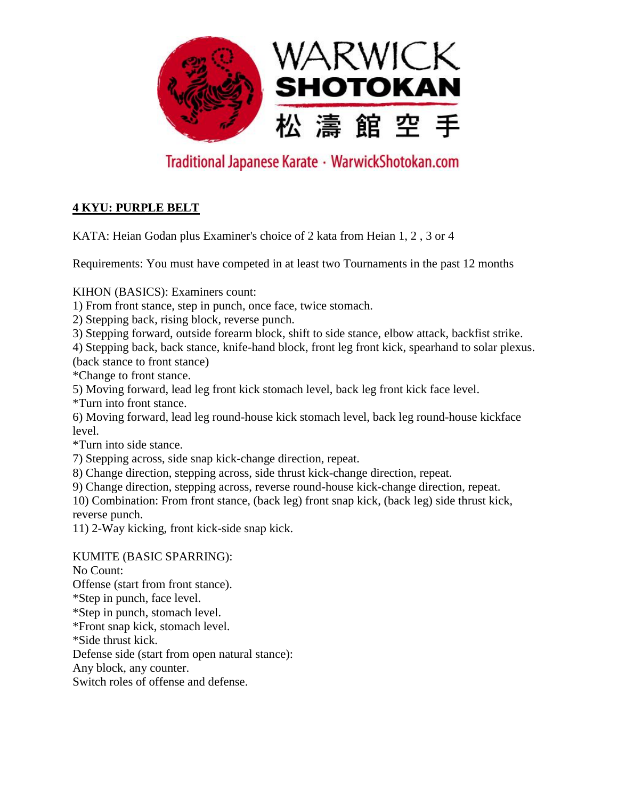

### **4 KYU: PURPLE BELT**

KATA: Heian Godan plus Examiner's choice of 2 kata from Heian 1, 2 , 3 or 4

Requirements: You must have competed in at least two Tournaments in the past 12 months

KIHON (BASICS): Examiners count:

1) From front stance, step in punch, once face, twice stomach.

2) Stepping back, rising block, reverse punch.

3) Stepping forward, outside forearm block, shift to side stance, elbow attack, backfist strike.

4) Stepping back, back stance, knife-hand block, front leg front kick, spearhand to solar plexus. (back stance to front stance)

\*Change to front stance.

5) Moving forward, lead leg front kick stomach level, back leg front kick face level.

\*Turn into front stance.

6) Moving forward, lead leg round-house kick stomach level, back leg round-house kickface level.

\*Turn into side stance.

7) Stepping across, side snap kick-change direction, repeat.

8) Change direction, stepping across, side thrust kick-change direction, repeat.

9) Change direction, stepping across, reverse round-house kick-change direction, repeat.

10) Combination: From front stance, (back leg) front snap kick, (back leg) side thrust kick, reverse punch.

11) 2-Way kicking, front kick-side snap kick.

KUMITE (BASIC SPARRING): No Count: Offense (start from front stance). \*Step in punch, face level. \*Step in punch, stomach level. \*Front snap kick, stomach level. \*Side thrust kick. Defense side (start from open natural stance): Any block, any counter.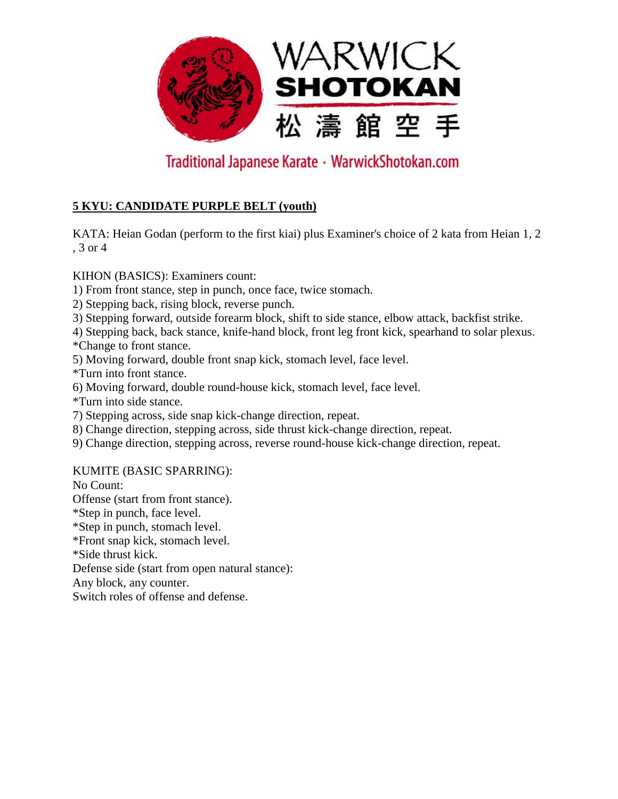

### **5 KYU: CANDIDATE PURPLE BELT (youth)**

KATA: Heian Godan (perform to the first kiai) plus Examiner's choice of 2 kata from Heian 1, 2 , 3 or 4

KIHON (BASICS): Examiners count:

- 1) From front stance, step in punch, once face, twice stomach.
- 2) Stepping back, rising block, reverse punch.
- 3) Stepping forward, outside forearm block, shift to side stance, elbow attack, backfist strike.

4) Stepping back, back stance, knife-hand block, front leg front kick, spearhand to solar plexus. \*Change to front stance.

- 5) Moving forward, double front snap kick, stomach level, face level.
- \*Turn into front stance.
- 6) Moving forward, double round-house kick, stomach level, face level.
- \*Turn into side stance.
- 7) Stepping across, side snap kick-change direction, repeat.
- 8) Change direction, stepping across, side thrust kick-change direction, repeat.
- 9) Change direction, stepping across, reverse round-house kick-change direction, repeat.

KUMITE (BASIC SPARRING):

No Count: Offense (start from front stance). \*Step in punch, face level. \*Step in punch, stomach level. \*Front snap kick, stomach level. \*Side thrust kick. Defense side (start from open natural stance): Any block, any counter. Switch roles of offense and defense.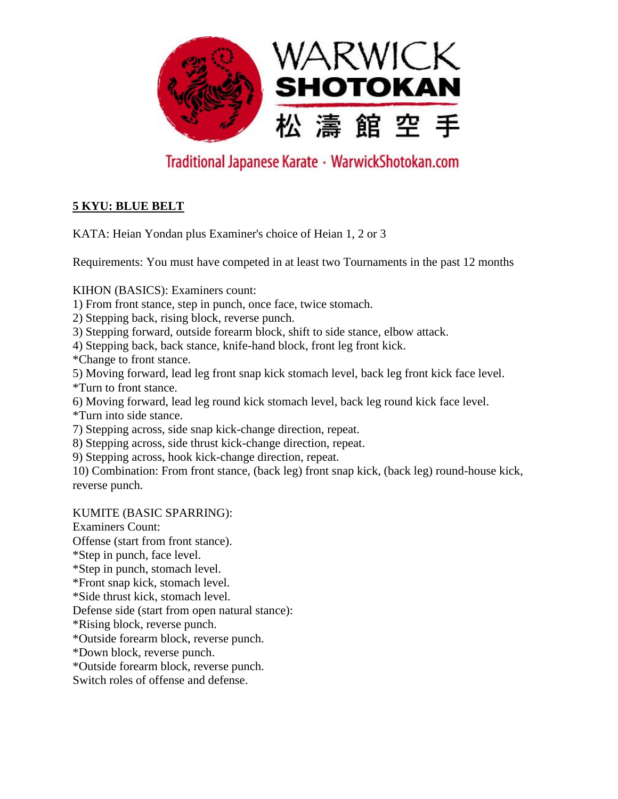

### **5 KYU: BLUE BELT**

KATA: Heian Yondan plus Examiner's choice of Heian 1, 2 or 3

Requirements: You must have competed in at least two Tournaments in the past 12 months

KIHON (BASICS): Examiners count:

1) From front stance, step in punch, once face, twice stomach.

2) Stepping back, rising block, reverse punch.

3) Stepping forward, outside forearm block, shift to side stance, elbow attack.

4) Stepping back, back stance, knife-hand block, front leg front kick.

\*Change to front stance.

5) Moving forward, lead leg front snap kick stomach level, back leg front kick face level. \*Turn to front stance.

6) Moving forward, lead leg round kick stomach level, back leg round kick face level. \*Turn into side stance.

7) Stepping across, side snap kick-change direction, repeat.

8) Stepping across, side thrust kick-change direction, repeat.

9) Stepping across, hook kick-change direction, repeat.

10) Combination: From front stance, (back leg) front snap kick, (back leg) round-house kick, reverse punch.

KUMITE (BASIC SPARRING):

Examiners Count: Offense (start from front stance). \*Step in punch, face level. \*Step in punch, stomach level. \*Front snap kick, stomach level. \*Side thrust kick, stomach level. Defense side (start from open natural stance): \*Rising block, reverse punch. \*Outside forearm block, reverse punch. \*Down block, reverse punch. \*Outside forearm block, reverse punch.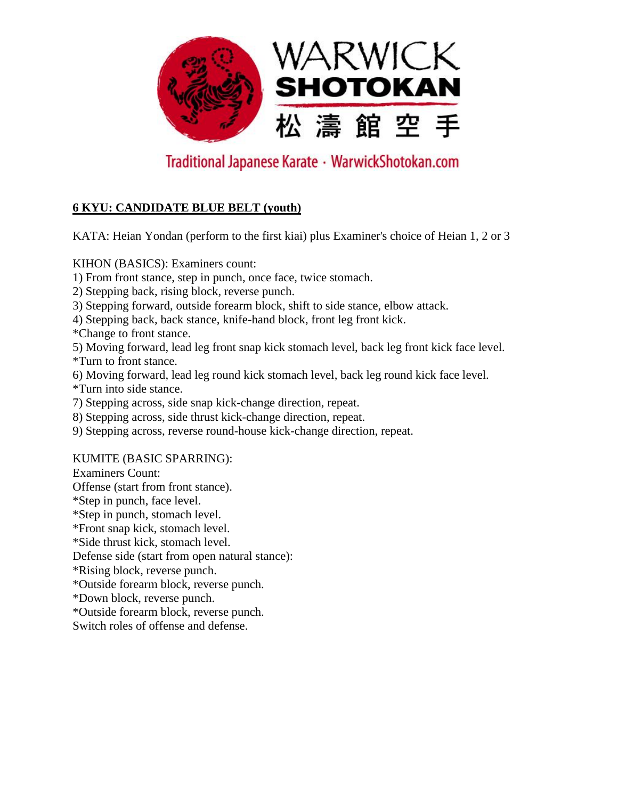

### **6 KYU: CANDIDATE BLUE BELT (youth)**

KATA: Heian Yondan (perform to the first kiai) plus Examiner's choice of Heian 1, 2 or 3

KIHON (BASICS): Examiners count:

1) From front stance, step in punch, once face, twice stomach.

- 2) Stepping back, rising block, reverse punch.
- 3) Stepping forward, outside forearm block, shift to side stance, elbow attack.

4) Stepping back, back stance, knife-hand block, front leg front kick.

\*Change to front stance.

5) Moving forward, lead leg front snap kick stomach level, back leg front kick face level. \*Turn to front stance.

6) Moving forward, lead leg round kick stomach level, back leg round kick face level. \*Turn into side stance.

7) Stepping across, side snap kick-change direction, repeat.

8) Stepping across, side thrust kick-change direction, repeat.

9) Stepping across, reverse round-house kick-change direction, repeat.

#### KUMITE (BASIC SPARRING):

Examiners Count:

Offense (start from front stance).

\*Step in punch, face level.

\*Step in punch, stomach level.

\*Front snap kick, stomach level.

\*Side thrust kick, stomach level.

Defense side (start from open natural stance):

\*Rising block, reverse punch.

\*Outside forearm block, reverse punch.

\*Down block, reverse punch.

\*Outside forearm block, reverse punch.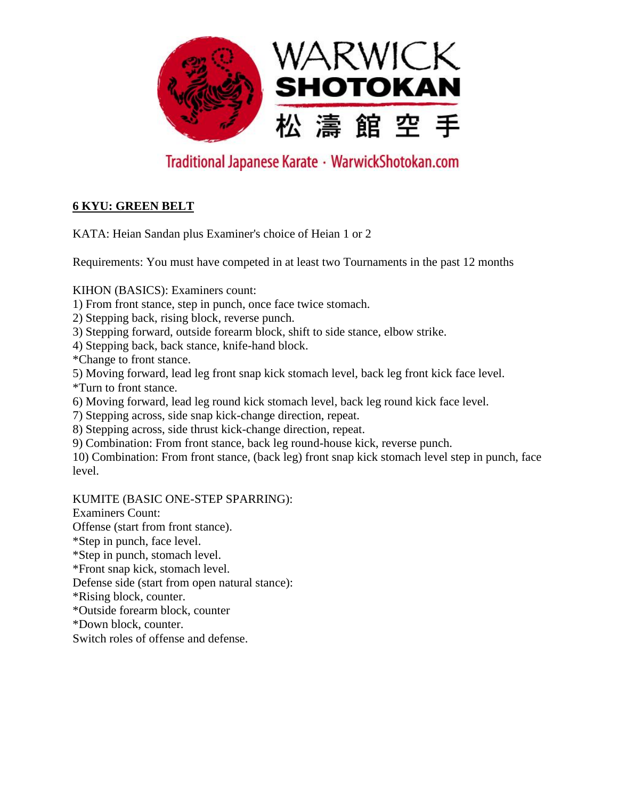

### **6 KYU: GREEN BELT**

KATA: Heian Sandan plus Examiner's choice of Heian 1 or 2

Requirements: You must have competed in at least two Tournaments in the past 12 months

KIHON (BASICS): Examiners count:

1) From front stance, step in punch, once face twice stomach.

2) Stepping back, rising block, reverse punch.

3) Stepping forward, outside forearm block, shift to side stance, elbow strike.

4) Stepping back, back stance, knife-hand block.

\*Change to front stance.

5) Moving forward, lead leg front snap kick stomach level, back leg front kick face level. \*Turn to front stance.

6) Moving forward, lead leg round kick stomach level, back leg round kick face level.

7) Stepping across, side snap kick-change direction, repeat.

8) Stepping across, side thrust kick-change direction, repeat.

9) Combination: From front stance, back leg round-house kick, reverse punch.

10) Combination: From front stance, (back leg) front snap kick stomach level step in punch, face level.

#### KUMITE (BASIC ONE-STEP SPARRING):

Examiners Count: Offense (start from front stance).

\*Step in punch, face level.

\*Step in punch, stomach level.

\*Front snap kick, stomach level.

Defense side (start from open natural stance):

\*Rising block, counter.

\*Outside forearm block, counter

\*Down block, counter.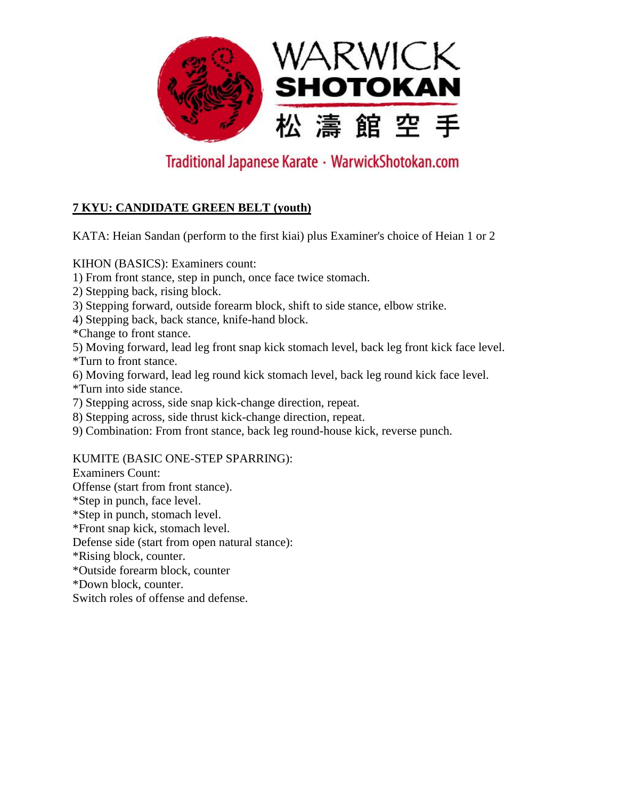

### **7 KYU: CANDIDATE GREEN BELT (youth)**

KATA: Heian Sandan (perform to the first kiai) plus Examiner's choice of Heian 1 or 2

KIHON (BASICS): Examiners count:

1) From front stance, step in punch, once face twice stomach.

- 2) Stepping back, rising block.
- 3) Stepping forward, outside forearm block, shift to side stance, elbow strike.

4) Stepping back, back stance, knife-hand block.

\*Change to front stance.

5) Moving forward, lead leg front snap kick stomach level, back leg front kick face level. \*Turn to front stance.

6) Moving forward, lead leg round kick stomach level, back leg round kick face level. \*Turn into side stance.

7) Stepping across, side snap kick-change direction, repeat.

8) Stepping across, side thrust kick-change direction, repeat.

9) Combination: From front stance, back leg round-house kick, reverse punch.

#### KUMITE (BASIC ONE-STEP SPARRING):

Examiners Count:

Offense (start from front stance).

\*Step in punch, face level.

\*Step in punch, stomach level.

\*Front snap kick, stomach level.

Defense side (start from open natural stance):

\*Rising block, counter.

\*Outside forearm block, counter

\*Down block, counter.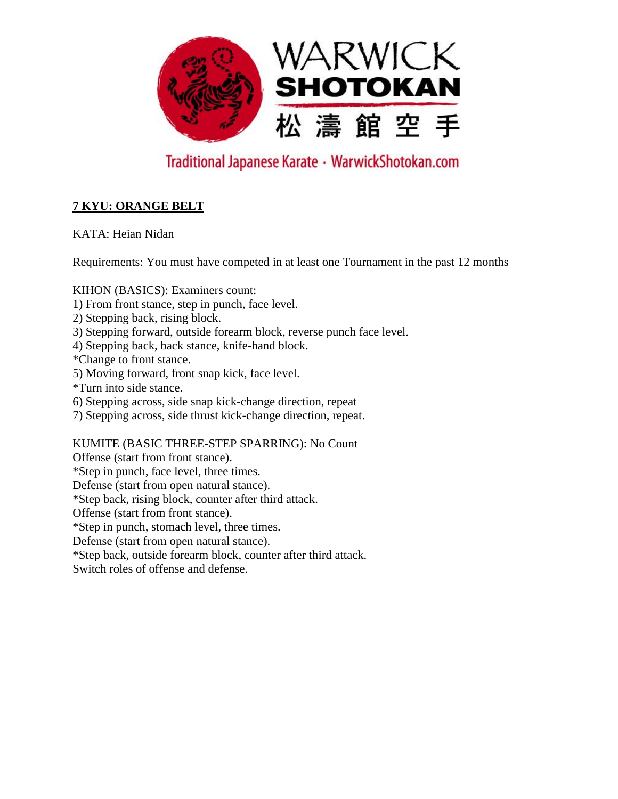

### **7 KYU: ORANGE BELT**

KATA: Heian Nidan

Requirements: You must have competed in at least one Tournament in the past 12 months

KIHON (BASICS): Examiners count:

- 1) From front stance, step in punch, face level.
- 2) Stepping back, rising block.
- 3) Stepping forward, outside forearm block, reverse punch face level.
- 4) Stepping back, back stance, knife-hand block.
- \*Change to front stance.
- 5) Moving forward, front snap kick, face level.
- \*Turn into side stance.
- 6) Stepping across, side snap kick-change direction, repeat
- 7) Stepping across, side thrust kick-change direction, repeat.

KUMITE (BASIC THREE-STEP SPARRING): No Count

Offense (start from front stance).

\*Step in punch, face level, three times.

Defense (start from open natural stance).

\*Step back, rising block, counter after third attack.

Offense (start from front stance).

\*Step in punch, stomach level, three times.

Defense (start from open natural stance).

\*Step back, outside forearm block, counter after third attack.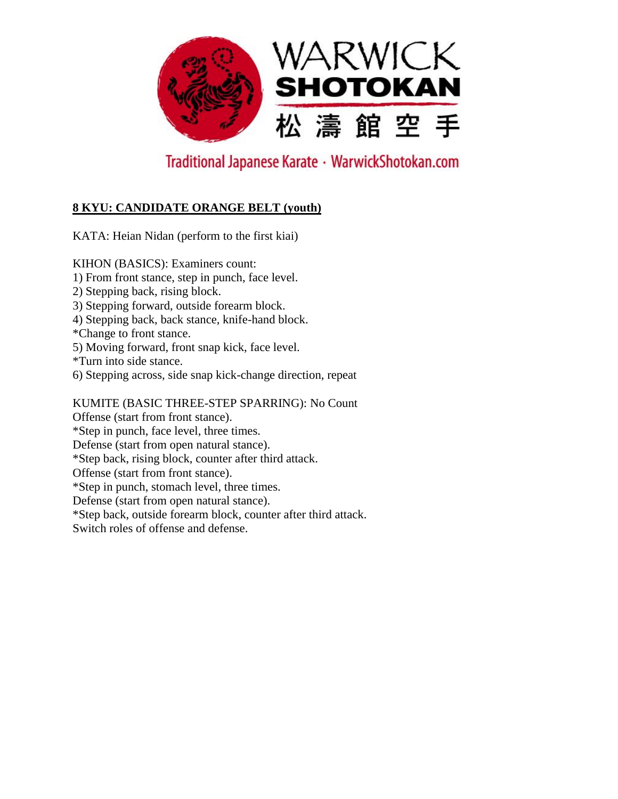

### **8 KYU: CANDIDATE ORANGE BELT (youth)**

KATA: Heian Nidan (perform to the first kiai)

KIHON (BASICS): Examiners count: 1) From front stance, step in punch, face level. 2) Stepping back, rising block. 3) Stepping forward, outside forearm block. 4) Stepping back, back stance, knife-hand block. \*Change to front stance. 5) Moving forward, front snap kick, face level. \*Turn into side stance. 6) Stepping across, side snap kick-change direction, repeat KUMITE (BASIC THREE-STEP SPARRING): No Count Offense (start from front stance). \*Step in punch, face level, three times. Defense (start from open natural stance). \*Step back, rising block, counter after third attack. Offense (start from front stance). \*Step in punch, stomach level, three times. Defense (start from open natural stance). \*Step back, outside forearm block, counter after third attack.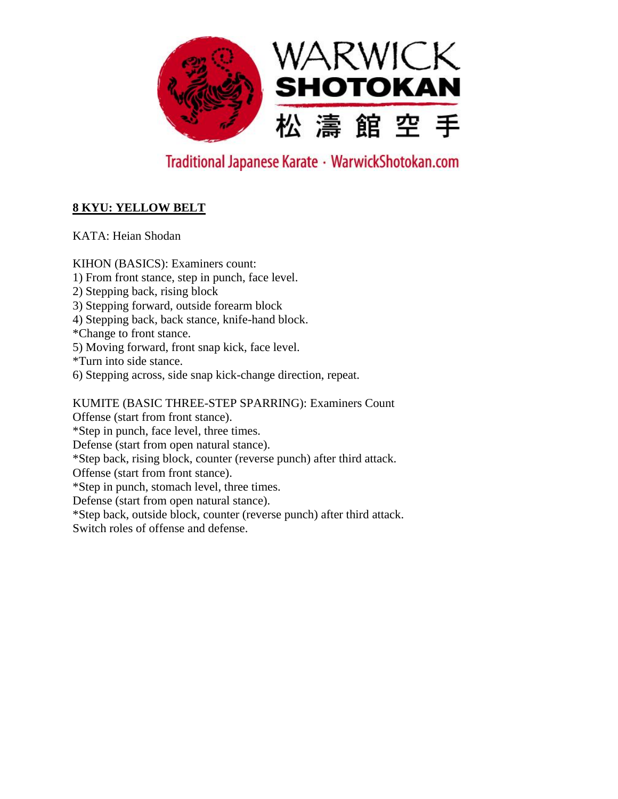

### **8 KYU: YELLOW BELT**

KATA: Heian Shodan

KIHON (BASICS): Examiners count: 1) From front stance, step in punch, face level. 2) Stepping back, rising block 3) Stepping forward, outside forearm block 4) Stepping back, back stance, knife-hand block. \*Change to front stance. 5) Moving forward, front snap kick, face level. \*Turn into side stance. 6) Stepping across, side snap kick-change direction, repeat. KUMITE (BASIC THREE-STEP SPARRING): Examiners Count Offense (start from front stance). \*Step in punch, face level, three times. Defense (start from open natural stance). \*Step back, rising block, counter (reverse punch) after third attack. Offense (start from front stance). \*Step in punch, stomach level, three times. Defense (start from open natural stance). \*Step back, outside block, counter (reverse punch) after third attack.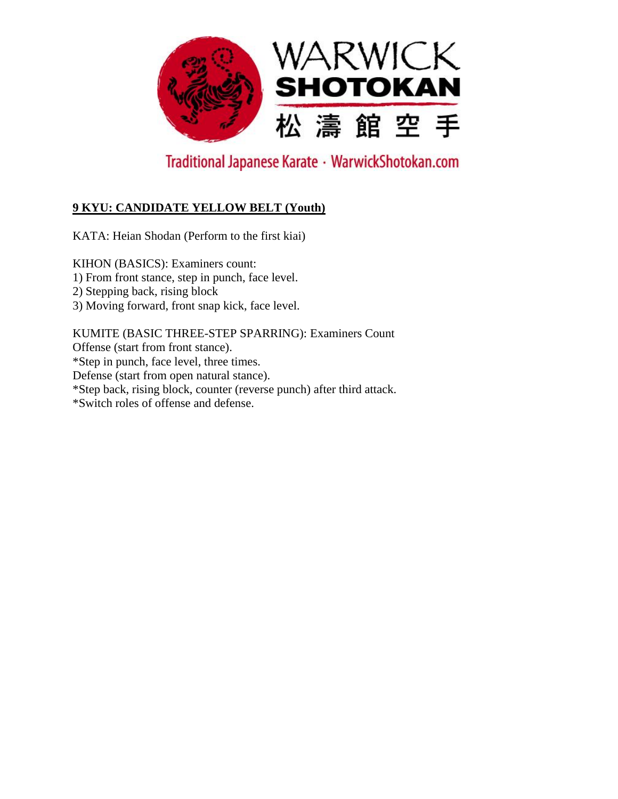

### **9 KYU: CANDIDATE YELLOW BELT (Youth)**

KATA: Heian Shodan (Perform to the first kiai)

KIHON (BASICS): Examiners count: 1) From front stance, step in punch, face level. 2) Stepping back, rising block 3) Moving forward, front snap kick, face level.

KUMITE (BASIC THREE-STEP SPARRING): Examiners Count Offense (start from front stance). \*Step in punch, face level, three times. Defense (start from open natural stance). \*Step back, rising block, counter (reverse punch) after third attack. \*Switch roles of offense and defense.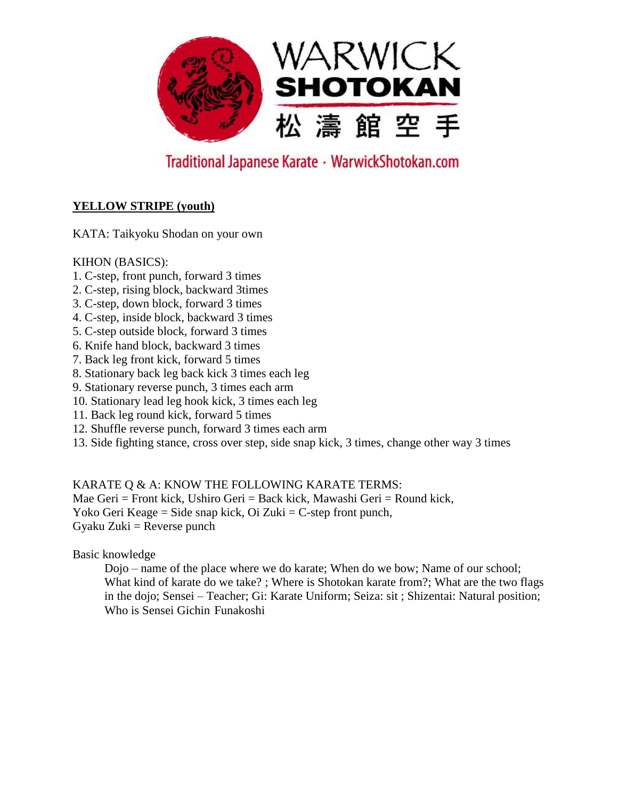

#### **YELLOW STRIPE (youth)**

KATA: Taikyoku Shodan on your own

#### KIHON (BASICS):

- 1. C-step, front punch, forward 3 times
- 2. C-step, rising block, backward 3times
- 3. C-step, down block, forward 3 times
- 4. C-step, inside block, backward 3 times
- 5. C-step outside block, forward 3 times
- 6. Knife hand block, backward 3 times
- 7. Back leg front kick, forward 5 times
- 8. Stationary back leg back kick 3 times each leg
- 9. Stationary reverse punch, 3 times each arm
- 10. Stationary lead leg hook kick, 3 times each leg
- 11. Back leg round kick, forward 5 times
- 12. Shuffle reverse punch, forward 3 times each arm
- 13. Side fighting stance, cross over step, side snap kick, 3 times, change other way 3 times

KARATE Q & A: KNOW THE FOLLOWING KARATE TERMS:

Mae Geri = Front kick, Ushiro Geri = Back kick, Mawashi Geri = Round kick, Yoko Geri Keage = Side snap kick, Oi Zuki = C-step front punch,  $Gyaku Zuki = Reverse$  punch

Basic knowledge

Dojo – name of the place where we do karate; When do we bow; Name of our school; What kind of karate do we take? ; Where is Shotokan karate from?; What are the two flags in the dojo; Sensei – Teacher; Gi: Karate Uniform; Seiza: sit ; Shizentai: Natural position; Who is Sensei Gichin Funakoshi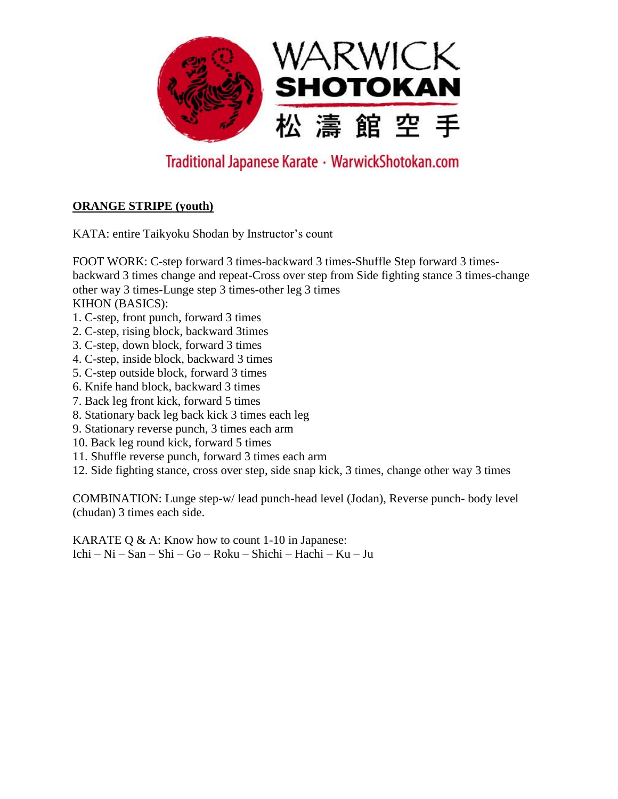

#### **ORANGE STRIPE (youth)**

KATA: entire Taikyoku Shodan by Instructor's count

FOOT WORK: C-step forward 3 times-backward 3 times-Shuffle Step forward 3 timesbackward 3 times change and repeat-Cross over step from Side fighting stance 3 times-change other way 3 times-Lunge step 3 times-other leg 3 times KIHON (BASICS):

- 1. C-step, front punch, forward 3 times
- 2. C-step, rising block, backward 3times
- 3. C-step, down block, forward 3 times
- 4. C-step, inside block, backward 3 times
- 5. C-step outside block, forward 3 times
- 6. Knife hand block, backward 3 times
- 7. Back leg front kick, forward 5 times
- 8. Stationary back leg back kick 3 times each leg
- 9. Stationary reverse punch, 3 times each arm
- 10. Back leg round kick, forward 5 times
- 11. Shuffle reverse punch, forward 3 times each arm
- 12. Side fighting stance, cross over step, side snap kick, 3 times, change other way 3 times

COMBINATION: Lunge step-w/ lead punch-head level (Jodan), Reverse punch- body level (chudan) 3 times each side.

KARATE Q  $\&$  A: Know how to count 1-10 in Japanese: Ichi – Ni – San – Shi – Go – Roku – Shichi – Hachi – Ku – Ju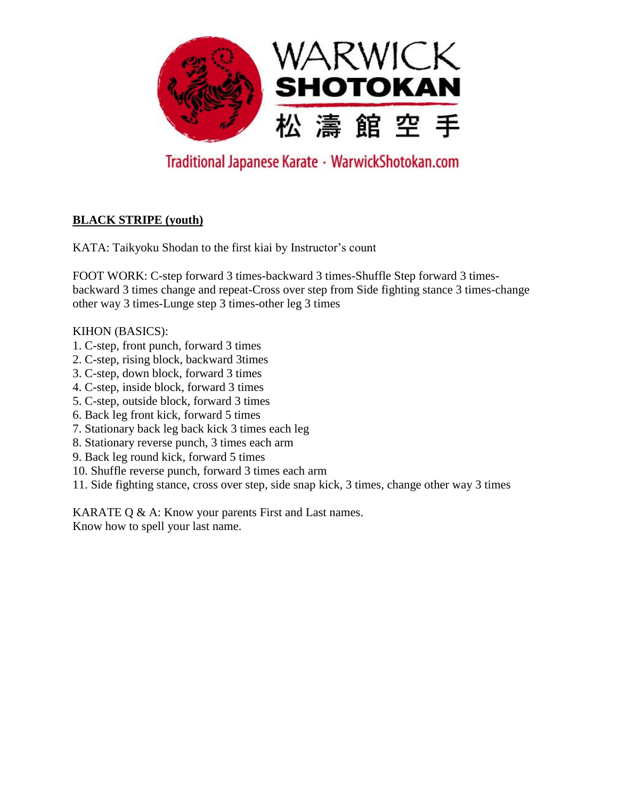

### **BLACK STRIPE (youth)**

KATA: Taikyoku Shodan to the first kiai by Instructor's count

FOOT WORK: C-step forward 3 times-backward 3 times-Shuffle Step forward 3 timesbackward 3 times change and repeat-Cross over step from Side fighting stance 3 times-change other way 3 times-Lunge step 3 times-other leg 3 times

#### KIHON (BASICS):

- 1. C-step, front punch, forward 3 times
- 2. C-step, rising block, backward 3times
- 3. C-step, down block, forward 3 times
- 4. C-step, inside block, forward 3 times
- 5. C-step, outside block, forward 3 times
- 6. Back leg front kick, forward 5 times
- 7. Stationary back leg back kick 3 times each leg
- 8. Stationary reverse punch, 3 times each arm
- 9. Back leg round kick, forward 5 times
- 10. Shuffle reverse punch, forward 3 times each arm
- 11. Side fighting stance, cross over step, side snap kick, 3 times, change other way 3 times

KARATE Q & A: Know your parents First and Last names. Know how to spell your last name.